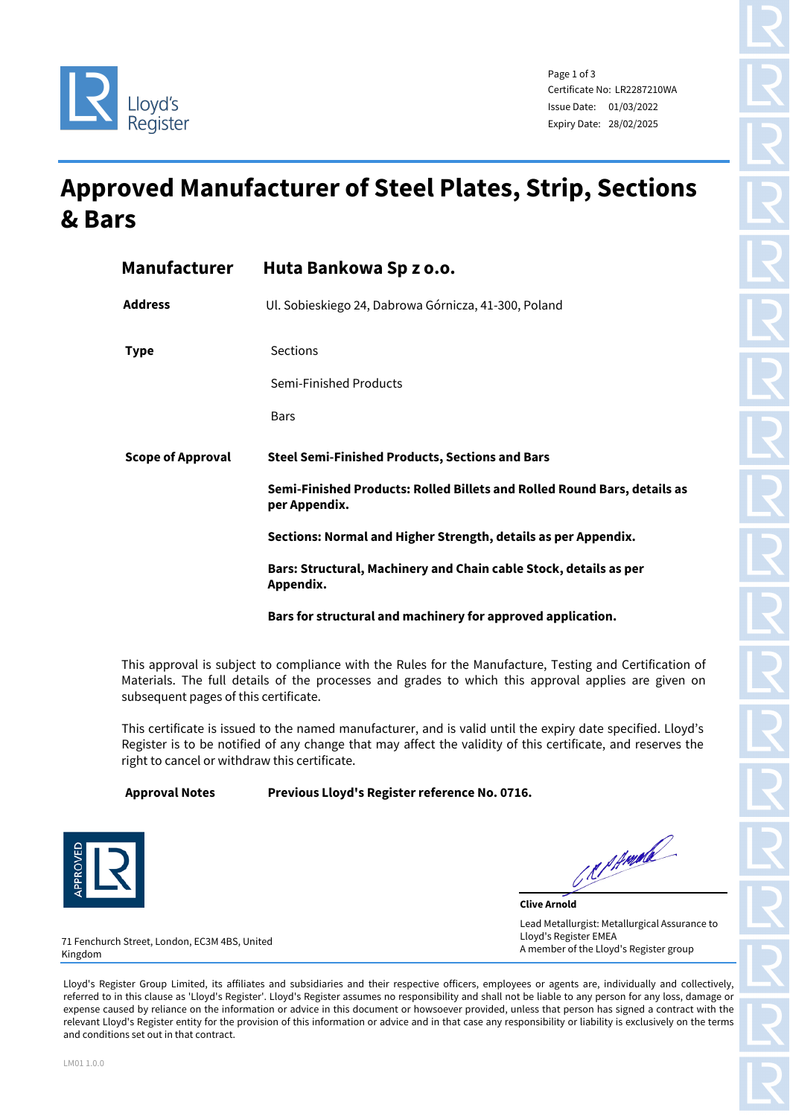

Page 1 of 3 Certificate No: LR2287210WA Issue Date: 01/03/2022 Expiry Date: 28/02/2025

## **Approved Manufacturer of Steel Plates, Strip, Sections & Bars**

| <b>Manufacturer</b>      | Huta Bankowa Sp z o.o.                                                                    |  |  |
|--------------------------|-------------------------------------------------------------------------------------------|--|--|
| <b>Address</b>           | Ul. Sobieskiego 24, Dabrowa Górnicza, 41-300, Poland                                      |  |  |
| <b>Type</b>              | <b>Sections</b>                                                                           |  |  |
|                          | Semi-Finished Products                                                                    |  |  |
|                          | <b>Bars</b>                                                                               |  |  |
| <b>Scope of Approval</b> | <b>Steel Semi-Finished Products, Sections and Bars</b>                                    |  |  |
|                          | Semi-Finished Products: Rolled Billets and Rolled Round Bars, details as<br>per Appendix. |  |  |
|                          | Sections: Normal and Higher Strength, details as per Appendix.                            |  |  |
|                          | Bars: Structural, Machinery and Chain cable Stock, details as per<br>Appendix.            |  |  |
|                          | Bars for structural and machinery for approved application.                               |  |  |

This approval is subject to compliance with the Rules for the Manufacture, Testing and Certification of Materials. The full details of the processes and grades to which this approval applies are given on subsequent pages of this certificate.

This certificate is issued to the named manufacturer, and is valid until the expiry date specified. Lloyd's Register is to be notified of any change that may affect the validity of this certificate, and reserves the right to cancel or withdraw this certificate.

**Approval Notes Previous Lloyd's Register reference No. 0716.** 



Reprimed

**Clive Arnold** Lead Metallurgist: Metallurgical Assurance to Lloyd's Register EMEA A member of the Lloyd's Register group

71 Fenchurch Street, London, EC3M 4BS, United Kingdom

Lloyd's Register Group Limited, its affiliates and subsidiaries and their respective officers, employees or agents are, individually and collectively, referred to in this clause as 'Lloyd's Register'. Lloyd's Register assumes no responsibility and shall not be liable to any person for any loss, damage or expense caused by reliance on the information or advice in this document or howsoever provided, unless that person has signed a contract with the relevant Lloyd's Register entity for the provision of this information or advice and in that case any responsibility or liability is exclusively on the terms and conditions set out in that contract.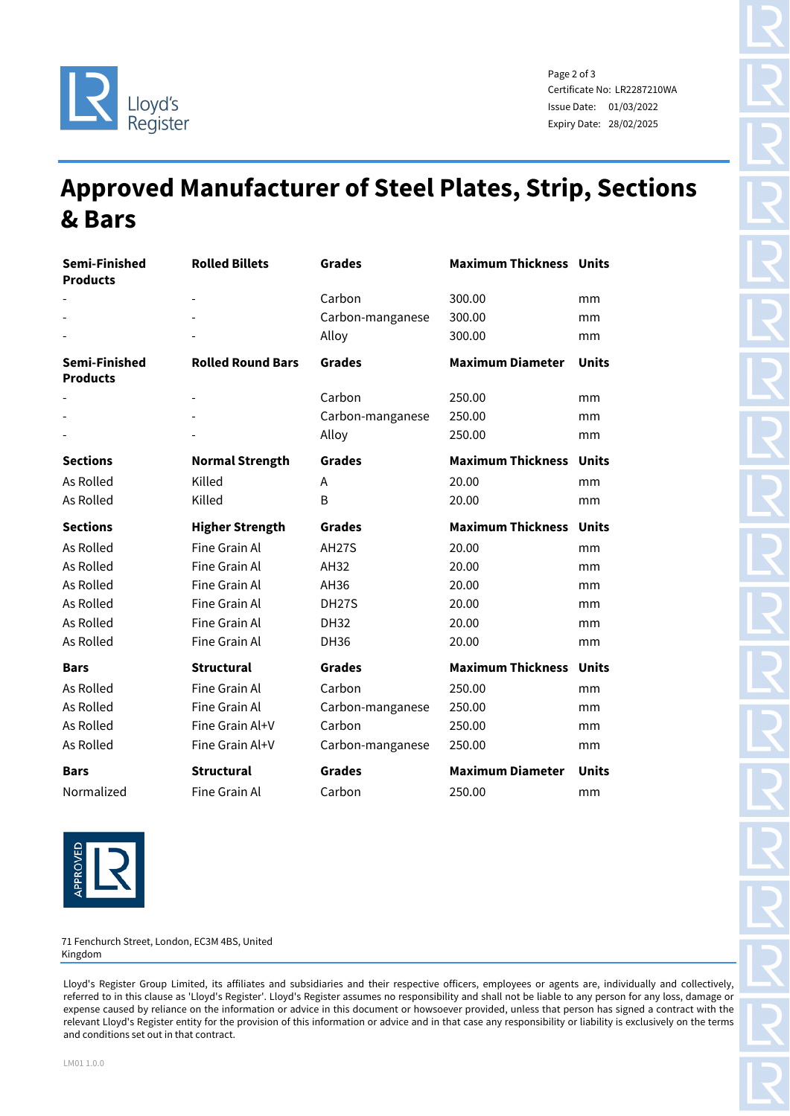

Page 2 of 3 Certificate No: LR2287210WA Issue Date: 01/03/2022 Expiry Date: 28/02/2025

## **Approved Manufacturer of Steel Plates, Strip, Sections & Bars**

| Semi-Finished<br><b>Products</b> | <b>Rolled Billets</b>    | <b>Grades</b>      | <b>Maximum Thickness Units</b> |              |
|----------------------------------|--------------------------|--------------------|--------------------------------|--------------|
|                                  |                          | Carbon             | 300.00                         | mm           |
|                                  |                          | Carbon-manganese   | 300.00                         | mm           |
|                                  |                          | Alloy              | 300.00                         | mm           |
| Semi-Finished<br><b>Products</b> | <b>Rolled Round Bars</b> | <b>Grades</b>      | <b>Maximum Diameter</b>        | <b>Units</b> |
|                                  |                          | Carbon             | 250.00                         | mm           |
|                                  |                          | Carbon-manganese   | 250.00                         | mm           |
|                                  |                          | Alloy              | 250.00                         | mm           |
| <b>Sections</b>                  | <b>Normal Strength</b>   | <b>Grades</b>      | <b>Maximum Thickness</b>       | <b>Units</b> |
| As Rolled                        | Killed                   | A                  | 20.00                          | mm           |
| As Rolled                        | Killed                   | B                  | 20.00                          | mm           |
| <b>Sections</b>                  | <b>Higher Strength</b>   | <b>Grades</b>      | <b>Maximum Thickness</b>       | <b>Units</b> |
| As Rolled                        | Fine Grain Al            | <b>AH27S</b>       | 20.00                          | mm           |
| As Rolled                        | Fine Grain Al            | AH32               | 20.00                          | mm           |
| As Rolled                        | Fine Grain Al            | AH36               | 20.00                          | mm           |
| As Rolled                        | Fine Grain Al            | DH <sub>27</sub> S | 20.00                          | mm           |
| As Rolled                        | Fine Grain Al            | <b>DH32</b>        | 20.00                          | mm           |
| As Rolled                        | Fine Grain Al            | <b>DH36</b>        | 20.00                          | mm           |
| <b>Bars</b>                      | <b>Structural</b>        | <b>Grades</b>      | <b>Maximum Thickness</b>       | <b>Units</b> |
| As Rolled                        | Fine Grain Al            | Carbon             | 250.00                         | mm           |
| As Rolled                        | Fine Grain Al            | Carbon-manganese   | 250.00                         | mm           |
| As Rolled                        | Fine Grain Al+V          | Carbon             | 250.00                         | mm           |
| As Rolled                        | Fine Grain Al+V          | Carbon-manganese   | 250.00                         | mm           |
| <b>Bars</b>                      | <b>Structural</b>        | <b>Grades</b>      | <b>Maximum Diameter</b>        | <b>Units</b> |
| Normalized                       | Fine Grain Al            | Carbon             | 250.00                         | mm           |

PROVEL

71 Fenchurch Street, London, EC3M 4BS, United Kingdom

Lloyd's Register Group Limited, its affiliates and subsidiaries and their respective officers, employees or agents are, individually and collectively, referred to in this clause as 'Lloyd's Register'. Lloyd's Register assumes no responsibility and shall not be liable to any person for any loss, damage or expense caused by reliance on the information or advice in this document or howsoever provided, unless that person has signed a contract with the relevant Lloyd's Register entity for the provision of this information or advice and in that case any responsibility or liability is exclusively on the terms and conditions set out in that contract.